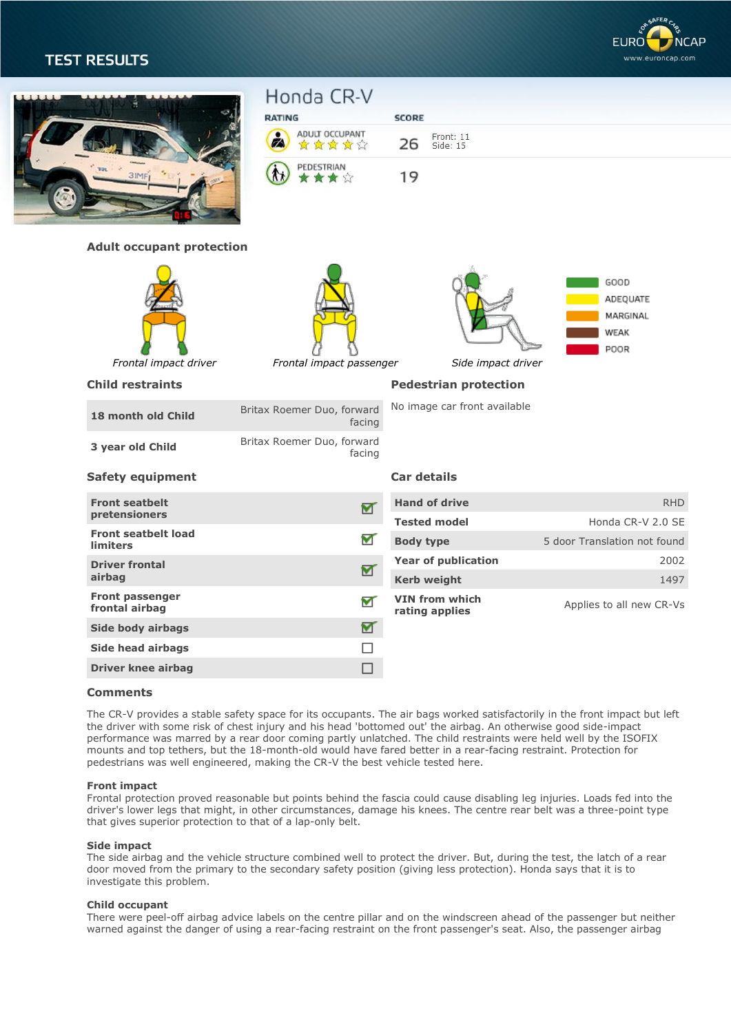# **TEST RESULTS**



|  | <b>31MF</b>                            | Honda CR-V<br><b>RATING</b><br>ADULT OCCUPANT<br>白黄黄黄<br>Ø<br>PEDESTRIAN<br>★★☆ |                 | <b>SCORE</b><br>Front: 11<br>26<br>Side: 15<br>19 |                                              |
|--|----------------------------------------|---------------------------------------------------------------------------------|-----------------|---------------------------------------------------|----------------------------------------------|
|  | <b>Adult occupant protection</b>       |                                                                                 |                 |                                                   |                                              |
|  | Frontal impact driver                  | Frontal impact passenger                                                        |                 | Side impact driver                                | GOOD<br>ADEQUATE<br>MARGINAL<br>WEAK<br>POOR |
|  | <b>Child restraints</b>                |                                                                                 |                 | <b>Pedestrian protection</b>                      |                                              |
|  | 18 month old Child                     | Britax Roemer Duo, forward                                                      | facing          | No image car front available                      |                                              |
|  | 3 year old Child                       | Britax Roemer Duo, forward                                                      | facing          |                                                   |                                              |
|  | <b>Safety equipment</b>                |                                                                                 |                 | <b>Car details</b>                                |                                              |
|  | <b>Front seatbelt</b><br>pretensioners |                                                                                 | $\triangledown$ | <b>Hand of drive</b>                              | <b>RHD</b>                                   |
|  | <b>Front seatbelt load</b>             |                                                                                 |                 | <b>Tested model</b>                               | Honda CR-V 2.0 SE                            |
|  | <b>limiters</b>                        |                                                                                 | ┳               | <b>Body type</b>                                  | 5 door Translation not found                 |
|  | <b>Driver frontal</b>                  |                                                                                 | M               | <b>Year of publication</b>                        | 2002                                         |
|  | airbag<br><b>Front passenger</b>       |                                                                                 |                 | <b>Kerb weight</b>                                | 1497                                         |
|  | frontal airbag                         |                                                                                 | ┳               | <b>VIN from which</b><br>rating applies           | Applies to all new CR-Vs                     |
|  | Side body airbags                      |                                                                                 | Ծ               |                                                   |                                              |
|  | <b>Side head airbags</b>               |                                                                                 |                 |                                                   |                                              |
|  | <b>Driver knee airbag</b>              |                                                                                 | г               |                                                   |                                              |
|  |                                        |                                                                                 |                 |                                                   |                                              |

## **Comments**

The CR-V provides a stable safety space for its occupants. The air bags worked satisfactorily in the front impact but left the driver with some risk of chest injury and his head 'bottomed out' the airbag. An otherwise good side-impact performance was marred by a rear door coming partly unlatched. The child restraints were held well by the ISOFIX mounts and top tethers, but the 18-month-old would have fared better in a rear-facing restraint. Protection for pedestrians was well engineered, making the CR-V the best vehicle tested here.

#### **Front impact**

Frontal protection proved reasonable but points behind the fascia could cause disabling leg injuries. Loads fed into the driver's lower legs that might, in other circumstances, damage his knees. The centre rear belt was a three-point type that gives superior protection to that of a lap-only belt.

#### **Side impact**

The side airbag and the vehicle structure combined well to protect the driver. But, during the test, the latch of a rear door moved from the primary to the secondary safety position (giving less protection). Honda says that it is to investigate this problem.

### **Child occupant**

There were peel-off airbag advice labels on the centre pillar and on the windscreen ahead of the passenger but neither warned against the danger of using a rear-facing restraint on the front passenger's seat. Also, the passenger airbag